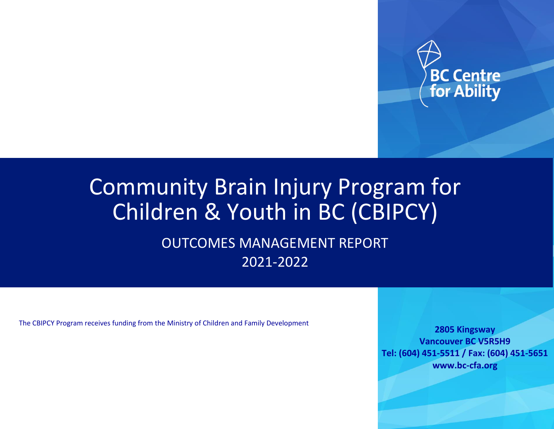

# Community Brain Injury Program for Children & Youth in BC (CBIPCY)

OUTCOMES MANAGEMENT REPORT 2021-2022

The CBIPCY Program receives funding from the Ministry of Children and Family Development

**2805 Kingsway Vancouver BC V5R5H9 Tel: (604) 451-5511 / Fax: (604) 451-5651 www.bc-cfa.org**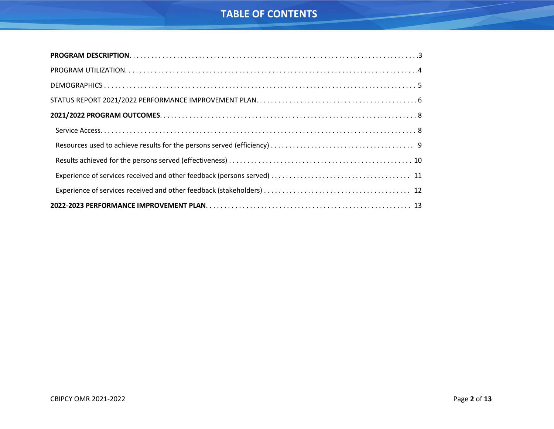# **TABLE OF CONTENTS**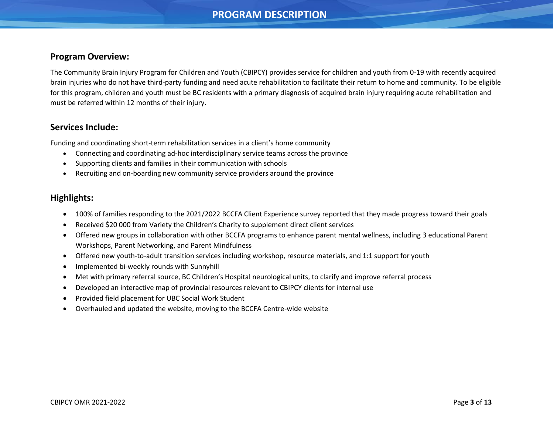# **PROGRAM DESCRIPTION**

### <span id="page-2-0"></span>**Program Overview:**

The Community Brain Injury Program for Children and Youth (CBIPCY) provides service for children and youth from 0-19 with recently acquired brain injuries who do not have third-party funding and need acute rehabilitation to facilitate their return to home and community. To be eligible for this program, children and youth must be BC residents with a primary diagnosis of acquired brain injury requiring acute rehabilitation and must be referred within 12 months of their injury.

### **Services Include:**

Funding and coordinating short-term rehabilitation services in a client's home community

- Connecting and coordinating ad-hoc interdisciplinary service teams across the province
- Supporting clients and families in their communication with schools
- Recruiting and on-boarding new community service providers around the province

### **Highlights:**

- 100% of families responding to the 2021/2022 BCCFA Client Experience survey reported that they made progress toward their goals
- Received \$20 000 from Variety the Children's Charity to supplement direct client services
- Offered new groups in collaboration with other BCCFA programs to enhance parent mental wellness, including 3 educational Parent Workshops, Parent Networking, and Parent Mindfulness
- Offered new youth-to-adult transition services including workshop, resource materials, and 1:1 support for youth
- Implemented bi-weekly rounds with Sunnyhill
- Met with primary referral source, BC Children's Hospital neurological units, to clarify and improve referral process
- Developed an interactive map of provincial resources relevant to CBIPCY clients for internal use
- Provided field placement for UBC Social Work Student
- Overhauled and updated the website, moving to the BCCFA Centre-wide website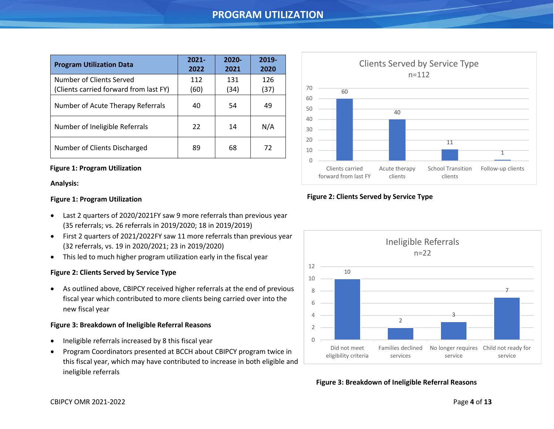# **PROGRAM UTILIZATION**

<span id="page-3-0"></span>

| <b>Program Utilization Data</b>                                    | $2021 -$<br>2022 | $2020 -$<br>2021 | 2019-<br>2020 |
|--------------------------------------------------------------------|------------------|------------------|---------------|
| Number of Clients Served<br>(Clients carried forward from last FY) | 112<br>(60)      | 131<br>(34)      | 126<br>(37)   |
| Number of Acute Therapy Referrals                                  | 40               | 54               | 49            |
| Number of Ineligible Referrals                                     | 22               | 14               | N/A           |
| Number of Clients Discharged                                       | 89               | 68               | 72            |

### **Figure 1: Program Utilization**

#### **Analysis:**

### **Figure 1: Program Utilization**

- Last 2 quarters of 2020/2021FY saw 9 more referrals than previous year (35 referrals; vs. 26 referrals in 2019/2020; 18 in 2019/2019)
- First 2 quarters of 2021/2022FY saw 11 more referrals than previous year (32 referrals, vs. 19 in 2020/2021; 23 in 2019/2020)
- This led to much higher program utilization early in the fiscal year

### **Figure 2: Clients Served by Service Type**

• As outlined above, CBIPCY received higher referrals at the end of previous fiscal year which contributed to more clients being carried over into the new fiscal year

#### **Figure 3: Breakdown of Ineligible Referral Reasons**

- Ineligible referrals increased by 8 this fiscal year
- Program Coordinators presented at BCCH about CBIPCY program twice in this fiscal year, which may have contributed to increase in both eligible and ineligible referrals



### **Figure 2: Clients Served by Service Type**



**Figure 3: Breakdown of Ineligible Referral Reasons**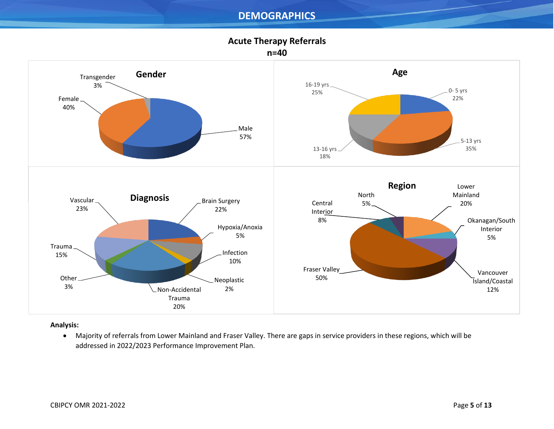# **DEMOGRAPHICS**

<span id="page-4-0"></span>

### **Analysis:**

• Majority of referrals from Lower Mainland and Fraser Valley. There are gaps in service providers in these regions, which will be addressed in 2022/2023 Performance Improvement Plan.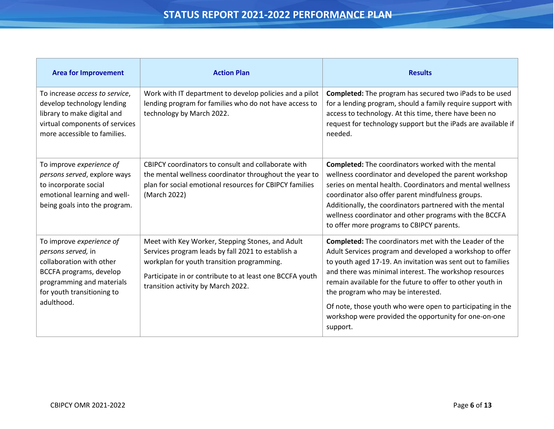<span id="page-5-0"></span>

| <b>Area for Improvement</b>                                                                                                                                                    | <b>Action Plan</b>                                                                                                                                                                                                                                     | <b>Results</b>                                                                                                                                                                                                                                                                                                                                                                                                       |
|--------------------------------------------------------------------------------------------------------------------------------------------------------------------------------|--------------------------------------------------------------------------------------------------------------------------------------------------------------------------------------------------------------------------------------------------------|----------------------------------------------------------------------------------------------------------------------------------------------------------------------------------------------------------------------------------------------------------------------------------------------------------------------------------------------------------------------------------------------------------------------|
| To increase access to service,<br>develop technology lending<br>library to make digital and<br>virtual components of services<br>more accessible to families.                  | Work with IT department to develop policies and a pilot<br>lending program for families who do not have access to<br>technology by March 2022.                                                                                                         | <b>Completed:</b> The program has secured two iPads to be used<br>for a lending program, should a family require support with<br>access to technology. At this time, there have been no<br>request for technology support but the iPads are available if<br>needed.                                                                                                                                                  |
| To improve experience of<br>persons served, explore ways<br>to incorporate social<br>emotional learning and well-<br>being goals into the program.                             | CBIPCY coordinators to consult and collaborate with<br>the mental wellness coordinator throughout the year to<br>plan for social emotional resources for CBIPCY families<br>(March 2022)                                                               | <b>Completed:</b> The coordinators worked with the mental<br>wellness coordinator and developed the parent workshop<br>series on mental health. Coordinators and mental wellness<br>coordinator also offer parent mindfulness groups.<br>Additionally, the coordinators partnered with the mental<br>wellness coordinator and other programs with the BCCFA<br>to offer more programs to CBIPCY parents.             |
| To improve experience of<br>persons served, in<br>collaboration with other<br>BCCFA programs, develop<br>programming and materials<br>for youth transitioning to<br>adulthood. | Meet with Key Worker, Stepping Stones, and Adult<br>Services program leads by fall 2021 to establish a<br>workplan for youth transition programming.<br>Participate in or contribute to at least one BCCFA youth<br>transition activity by March 2022. | <b>Completed:</b> The coordinators met with the Leader of the<br>Adult Services program and developed a workshop to offer<br>to youth aged 17-19. An invitation was sent out to families<br>and there was minimal interest. The workshop resources<br>remain available for the future to offer to other youth in<br>the program who may be interested.<br>Of note, those youth who were open to participating in the |
|                                                                                                                                                                                |                                                                                                                                                                                                                                                        | workshop were provided the opportunity for one-on-one<br>support.                                                                                                                                                                                                                                                                                                                                                    |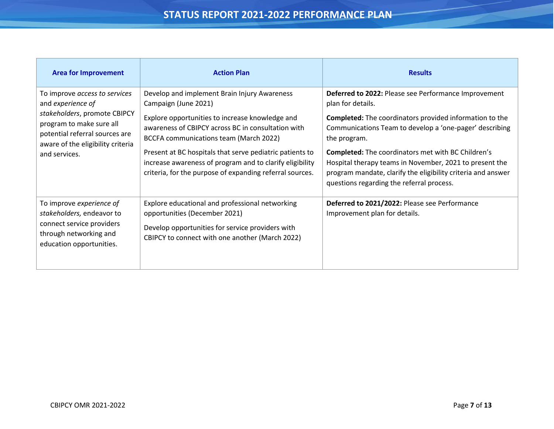# **STATUS REPORT 2021-2022 PERFORMANCE PLAN**

| <b>Area for Improvement</b>                                                                                                                                                                                                                                                                                                                                                                                                                                                                                                                                                                                           | <b>Action Plan</b>                                                                                                                                                                                                     | <b>Results</b>                                                                                                                                                                                                                    |
|-----------------------------------------------------------------------------------------------------------------------------------------------------------------------------------------------------------------------------------------------------------------------------------------------------------------------------------------------------------------------------------------------------------------------------------------------------------------------------------------------------------------------------------------------------------------------------------------------------------------------|------------------------------------------------------------------------------------------------------------------------------------------------------------------------------------------------------------------------|-----------------------------------------------------------------------------------------------------------------------------------------------------------------------------------------------------------------------------------|
| Develop and implement Brain Injury Awareness<br>To improve access to services<br>and experience of<br>Campaign (June 2021)<br>stakeholders, promote CBIPCY<br>Explore opportunities to increase knowledge and<br>program to make sure all<br>awareness of CBIPCY across BC in consultation with<br>potential referral sources are<br>BCCFA communications team (March 2022)<br>aware of the eligibility criteria<br>Present at BC hospitals that serve pediatric patients to<br>and services.<br>increase awareness of program and to clarify eligibility<br>criteria, for the purpose of expanding referral sources. | Deferred to 2022: Please see Performance Improvement<br>plan for details.<br><b>Completed:</b> The coordinators provided information to the<br>Communications Team to develop a 'one-pager' describing<br>the program. |                                                                                                                                                                                                                                   |
|                                                                                                                                                                                                                                                                                                                                                                                                                                                                                                                                                                                                                       |                                                                                                                                                                                                                        | <b>Completed:</b> The coordinators met with BC Children's<br>Hospital therapy teams in November, 2021 to present the<br>program mandate, clarify the eligibility criteria and answer<br>questions regarding the referral process. |
| To improve experience of<br>stakeholders, endeavor to<br>connect service providers<br>through networking and<br>education opportunities.                                                                                                                                                                                                                                                                                                                                                                                                                                                                              | Explore educational and professional networking<br>opportunities (December 2021)<br>Develop opportunities for service providers with<br>CBIPCY to connect with one another (March 2022)                                | Deferred to 2021/2022: Please see Performance<br>Improvement plan for details.                                                                                                                                                    |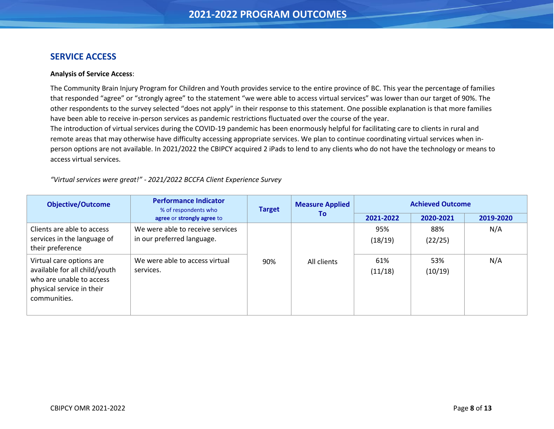### <span id="page-7-0"></span>**SERVICE ACCESS**

### **Analysis of Service Access**:

The Community Brain Injury Program for Children and Youth provides service to the entire province of BC. This year the percentage of families that responded "agree" or "strongly agree" to the statement "we were able to access virtual services" was lower than our target of 90%. The other respondents to the survey selected "does not apply" in their response to this statement. One possible explanation is that more families have been able to receive in-person services as pandemic restrictions fluctuated over the course of the year.

The introduction of virtual services during the COVID-19 pandemic has been enormously helpful for facilitating care to clients in rural and remote areas that may otherwise have difficulty accessing appropriate services. We plan to continue coordinating virtual services when inperson options are not available. In 2021/2022 the CBIPCY acquired 2 iPads to lend to any clients who do not have the technology or means to access virtual services.

*"Virtual services were great!" - 2021/2022 BCCFA Client Experience Survey*

| <b>Objective/Outcome</b>                                                                                                           | <b>Performance Indicator</b><br><b>Measure Applied</b><br><b>Target</b><br>% of respondents who |     |             |                | <b>Achieved Outcome</b> |           |
|------------------------------------------------------------------------------------------------------------------------------------|-------------------------------------------------------------------------------------------------|-----|-------------|----------------|-------------------------|-----------|
|                                                                                                                                    | agree or strongly agree to                                                                      |     | Τo          | 2021-2022      | 2020-2021               | 2019-2020 |
| Clients are able to access<br>services in the language of<br>their preference                                                      | We were able to receive services<br>in our preferred language.                                  |     |             | 95%<br>(18/19) | 88%<br>(22/25)          | N/A       |
| Virtual care options are<br>available for all child/youth<br>who are unable to access<br>physical service in their<br>communities. | We were able to access virtual<br>services.                                                     | 90% | All clients | 61%<br>(11/18) | 53%<br>(10/19)          | N/A       |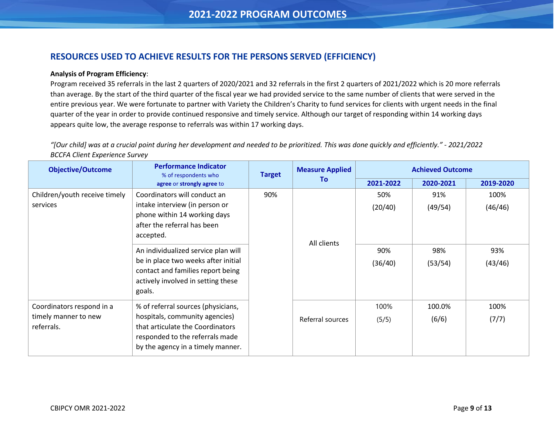# <span id="page-8-0"></span>**RESOURCES USED TO ACHIEVE RESULTS FOR THE PERSONS SERVED (EFFICIENCY)**

### **Analysis of Program Efficiency**:

Program received 35 referrals in the last 2 quarters of 2020/2021 and 32 referrals in the first 2 quarters of 2021/2022 which is 20 more referrals than average. By the start of the third quarter of the fiscal year we had provided service to the same number of clients that were served in the entire previous year. We were fortunate to partner with Variety the Children's Charity to fund services for clients with urgent needs in the final quarter of the year in order to provide continued responsive and timely service. Although our target of responding within 14 working days appears quite low, the average response to referrals was within 17 working days.

*"[Our child] was at a crucial point during her development and needed to be prioritized. This was done quickly and efficiently." - 2021/2022 BCCFA Client Experience Survey*

| <b>Objective/Outcome</b>                                        | <b>Performance Indicator</b><br>% of respondents who                                                                                                                              | <b>Target</b> |                  |                       |                       |                        |  |  |  |  |  |  |  |  | <b>Measure Applied</b> | <b>Achieved Outcome</b> |  |  |
|-----------------------------------------------------------------|-----------------------------------------------------------------------------------------------------------------------------------------------------------------------------------|---------------|------------------|-----------------------|-----------------------|------------------------|--|--|--|--|--|--|--|--|------------------------|-------------------------|--|--|
|                                                                 | agree or strongly agree to                                                                                                                                                        |               | To               | 2021-2022             | 2020-2021             | 2019-2020              |  |  |  |  |  |  |  |  |                        |                         |  |  |
| Children/youth receive timely<br>services                       | Coordinators will conduct an<br>intake interview (in person or<br>phone within 14 working days<br>after the referral has been<br>accepted.<br>An individualized service plan will | 90%           | All clients      | 50%<br>(20/40)<br>90% | 91%<br>(49/54)<br>98% | 100%<br>(46/46)<br>93% |  |  |  |  |  |  |  |  |                        |                         |  |  |
|                                                                 | be in place two weeks after initial<br>contact and families report being<br>actively involved in setting these<br>goals.                                                          |               |                  | (36/40)               | (53/54)               | (43/46)                |  |  |  |  |  |  |  |  |                        |                         |  |  |
| Coordinators respond in a<br>timely manner to new<br>referrals. | % of referral sources (physicians,<br>hospitals, community agencies)<br>that articulate the Coordinators<br>responded to the referrals made<br>by the agency in a timely manner.  |               | Referral sources | 100%<br>(5/5)         | 100.0%<br>(6/6)       | 100%<br>(7/7)          |  |  |  |  |  |  |  |  |                        |                         |  |  |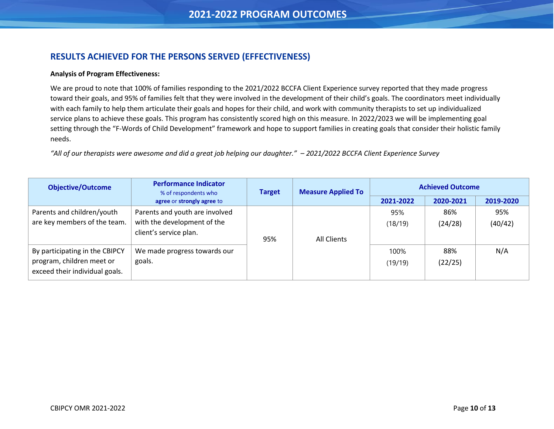# <span id="page-9-0"></span>**RESULTS ACHIEVED FOR THE PERSONS SERVED (EFFECTIVENESS)**

### **Analysis of Program Effectiveness:**

We are proud to note that 100% of families responding to the 2021/2022 BCCFA Client Experience survey reported that they made progress toward their goals, and 95% of families felt that they were involved in the development of their child's goals. The coordinators meet individually with each family to help them articulate their goals and hopes for their child, and work with community therapists to set up individualized service plans to achieve these goals. This program has consistently scored high on this measure. In 2022/2023 we will be implementing goal setting through the "F-Words of Child Development" framework and hope to support families in creating goals that consider their holistic family needs.

*"All of our therapists were awesome and did a great job helping our daughter." – 2021/2022 BCCFA Client Experience Survey*

| <b>Objective/Outcome</b>                                                                      | <b>Performance Indicator</b><br>% of respondents who                                    | <b>Target</b> | <b>Measure Applied To</b> | <b>Achieved Outcome</b> |                |                |
|-----------------------------------------------------------------------------------------------|-----------------------------------------------------------------------------------------|---------------|---------------------------|-------------------------|----------------|----------------|
|                                                                                               | agree or strongly agree to                                                              |               |                           | 2021-2022               | 2020-2021      | 2019-2020      |
| Parents and children/youth<br>are key members of the team.                                    | Parents and youth are involved<br>with the development of the<br>client's service plan. | 95%           | All Clients               | 95%<br>(18/19)          | 86%<br>(24/28) | 95%<br>(40/42) |
| By participating in the CBIPCY<br>program, children meet or<br>exceed their individual goals. | We made progress towards our<br>goals.                                                  |               |                           | 100%<br>(19/19)         | 88%<br>(22/25) | N/A            |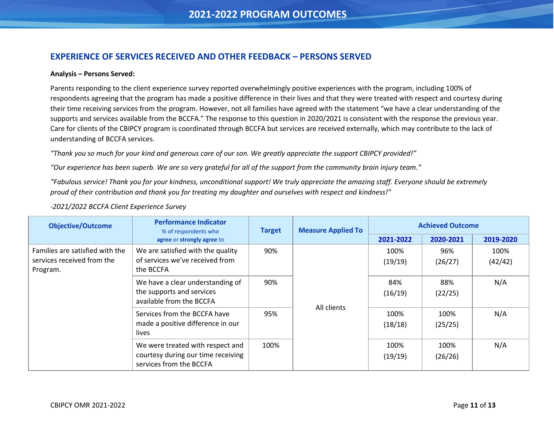## <span id="page-10-0"></span>**EXPERIENCE OF SERVICES RECEIVED AND OTHER FEEDBACK – PERSONS SERVED**

#### **Analysis – Persons Served:**

Parents responding to the client experience survey reported overwhelmingly positive experiences with the program, including 100% of respondents agreeing that the program has made a positive difference in their lives and that they were treated with respect and courtesy during their time receiving services from the program. However, not all families have agreed with the statement "we have a clear understanding of the supports and services available from the BCCFA." The response to this question in 2020/2021 is consistent with the response the previous year. Care for clients of the CBIPCY program is coordinated through BCCFA but services are received externally, which may contribute to the lack of understanding of BCCFA services.

*"Thank you so much for your kind and generous care of our son. We greatly appreciate the support CBIPCY provided!"*

"Our experience has been superb. We are so very grateful for all of the support from the community brain injury team."

*"Fabulous service! Thank you for your kindness, unconditional support! We truly appreciate the amazing staff. Everyone should be extremely proud of their contribution and thank you for treating my daughter and ourselves with respect and kindness!"*

| <b>Objective/Outcome</b>                                                  | <b>Performance Indicator</b><br>% of respondents who                                              | <b>Measure Applied To</b><br><b>Target</b> |             | <b>Achieved Outcome</b> |                 |                 |
|---------------------------------------------------------------------------|---------------------------------------------------------------------------------------------------|--------------------------------------------|-------------|-------------------------|-----------------|-----------------|
|                                                                           | agree or strongly agree to                                                                        |                                            |             | 2021-2022               | 2020-2021       | 2019-2020       |
| Families are satisfied with the<br>services received from the<br>Program. | We are satisfied with the quality<br>of services we've received from<br>the BCCFA                 | 90%                                        | All clients | 100%<br>(19/19)         | 96%<br>(26/27)  | 100%<br>(42/42) |
|                                                                           | We have a clear understanding of<br>the supports and services<br>available from the BCCFA         | 90%                                        |             | 84%<br>(16/19)          | 88%<br>(22/25)  | N/A             |
|                                                                           | Services from the BCCFA have<br>made a positive difference in our<br>lives                        | 95%                                        |             | 100%<br>(18/18)         | 100%<br>(25/25) | N/A             |
|                                                                           | We were treated with respect and<br>courtesy during our time receiving<br>services from the BCCFA | 100%                                       |             | 100%<br>(19/19)         | 100%<br>(26/26) | N/A             |

### *-2021/2022 BCCFA Client Experience Survey*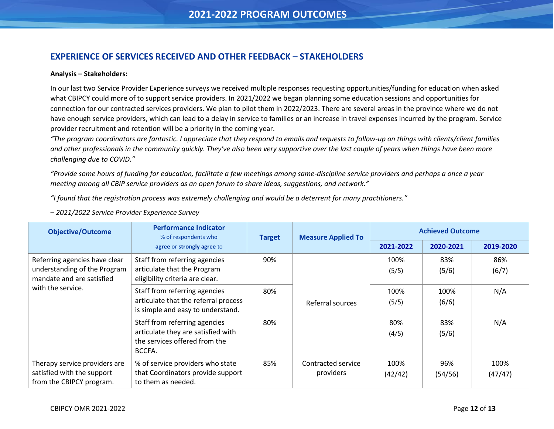# <span id="page-11-0"></span>**EXPERIENCE OF SERVICES RECEIVED AND OTHER FEEDBACK – STAKEHOLDERS**

#### **Analysis – Stakeholders:**

In our last two Service Provider Experience surveys we received multiple responses requesting opportunities/funding for education when asked what CBIPCY could more of to support service providers. In 2021/2022 we began planning some education sessions and opportunities for connection for our contracted services providers. We plan to pilot them in 2022/2023. There are several areas in the province where we do not have enough service providers, which can lead to a delay in service to families or an increase in travel expenses incurred by the program. Service provider recruitment and retention will be a priority in the coming year.

*"The program coordinators are fantastic. I appreciate that they respond to emails and requests to follow-up on things with clients/client families and other professionals in the community quickly. They've also been very supportive over the last couple of years when things have been more challenging due to COVID."* 

*"Provide some hours of funding for education, facilitate a few meetings among same-discipline service providers and perhaps a once a year meeting among all CBIP service providers as an open forum to share ideas, suggestions, and network."*

*"I found that the registration process was extremely challenging and would be a deterrent for many practitioners."*

*– 2021/2022 Service Provider Experience Survey*

| <b>Objective/Outcome</b>                                                                   | <b>Performance Indicator</b><br>% of respondents who                                                           | <b>Target</b> | <b>Measure Applied To</b>       |                 | <b>Achieved Outcome</b> |                 |
|--------------------------------------------------------------------------------------------|----------------------------------------------------------------------------------------------------------------|---------------|---------------------------------|-----------------|-------------------------|-----------------|
|                                                                                            | agree or strongly agree to                                                                                     |               |                                 | 2021-2022       | 2020-2021               | 2019-2020       |
| Referring agencies have clear<br>understanding of the Program<br>mandate and are satisfied | Staff from referring agencies<br>articulate that the Program<br>eligibility criteria are clear.                | 90%           | 100%<br>(5/5)                   | 83%<br>(5/6)    | 86%<br>(6/7)            |                 |
| with the service.                                                                          | Staff from referring agencies<br>articulate that the referral process<br>is simple and easy to understand.     | 80%           | Referral sources                | 100%<br>(5/5)   | 100%<br>(6/6)           | N/A             |
|                                                                                            | Staff from referring agencies<br>articulate they are satisfied with<br>the services offered from the<br>BCCFA. | 80%           |                                 | 80%<br>(4/5)    | 83%<br>(5/6)            | N/A             |
| Therapy service providers are<br>satisfied with the support<br>from the CBIPCY program.    | % of service providers who state<br>that Coordinators provide support<br>to them as needed.                    | 85%           | Contracted service<br>providers | 100%<br>(42/42) | 96%<br>(54/56)          | 100%<br>(47/47) |